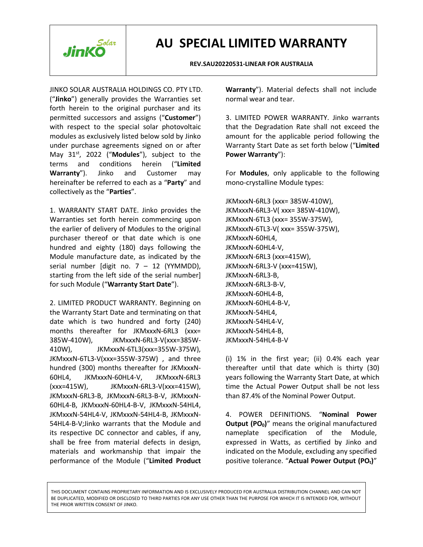

#### **REV.SAU20220531-LINEAR FOR AUSTRALIA**

JINKO SOLAR AUSTRALIA HOLDINGS CO.PTY LTD. ("**Jinko**") generally provides the Warranties set forth herein to the original purchaser and its permitted successors and assigns ("**Customer**") with respect to the special solar photovoltaic modules as exclusively listed below sold by Jinko under purchase agreements signed on or after May 31<sup>st</sup>, 2022 ("**Modules**"), subject to the **Power Warrant** terms and conditions herein ("**Limited** hereinafter be referred to each as a "**Party**" and collectively as the "**Parties**".

1. WARRANTY START DATE. Jinko provides the Warranties set forth herein commencing upon the earlier of delivery of Modules to the original purchaser thereof or that date which is one hundred and eighty (180) days following the Module manufacture date, as indicated by the serial number [digit no.  $7 - 12$  (YYMMDD), starting from the left side of the serial number] for such Module ("**Warranty Start Date**").

2. LIMITED PRODUCT WARRANTY. Beginning on the Warranty Start Date and terminating on that date which is two hundred and forty (240) months thereafter for JKMxxxN-6RL3 (xxx= 385W-410W), JKMxxxN-6RL3-V(xxx=385W- 410W), JKMxxxN-6TL3(xxx=355W-375W), JKMxxxN-6TL3-V(xxx=355W-375W) , and three hundred (300) months thereafter for JKMxxxN- 60HL4, JKMxxxN-60HL4-V, JKMxxxN-6RL3 (xxx=415W), JKMxxxN-6RL3-V(xxx=415W), JKMxxxN-6RL3-B, JKMxxxN-6RL3-B-V, JKMxxxN- 60HL4-B, JKMxxxN-60HL4-B-V, JKMxxxN-54HL4, JKMxxxN-54HL4-V, JKMxxxN-54HL4-B, JKMxxxN- 54HL4-B-V;Jinko warrants that the Module and its respective DC connector and cables, if any, shall be free from material defects in design, materials and workmanship that impair the performance of the Module ("**Limited Product**

**Warranty**"). Material defects shall not include normal wear and tear.

3. LIMITED POWER WARRANTY.Jinko warrants that the Degradation Rate shall not exceed the amount for the applicable period following the Warranty Start Date as set forth below ("Limited" **Power Warranty**"):

**Warranty**"). Jinko and Customer may For **Modules**, only applicable to the following mono-crystalline Module types:

> JKMxxxN-6RL3 (xxx= 385W-410W), JKMxxxN-6RL3-V( xxx= 385W-410W), JKMxxxN-6TL3 (xxx= 355W-375W), JKMxxxN-6TL3-V( xxx= 355W-375W), JKMxxxN-60HL4, JKMxxxN-60HL4-V, JKMxxxN-6RL3 (xxx=415W), JKMxxxN-6RL3-V (xxx=415W), JKMxxxN-6RL3-B, JKMxxxN-6RL3-B-V, JKMxxxN-60HL4-B, JKMxxxN-60HL4-B-V, JKMxxxN-54HL4, JKMxxxN-54HL4-V, JKMxxxN-54HL4-B, JKMxxxN-54HL4-B-V

(i) 1% in the first year; (ii) 0.4% each year thereafter until that date which is thirty (30) years following the Warranty Start Date, at which time the Actual Power Output shall be not less than 87.4% of the Nominal Power Output.

4. POWER DEFINITIONS. "**Nominal Power Output (PO0)**" means the original manufactured nameplate specification of the Module, expressed in Watts, as certified by Jinko and indicated on the Module, excluding any specified positive tolerance. "**Actual Power Output (POt)**"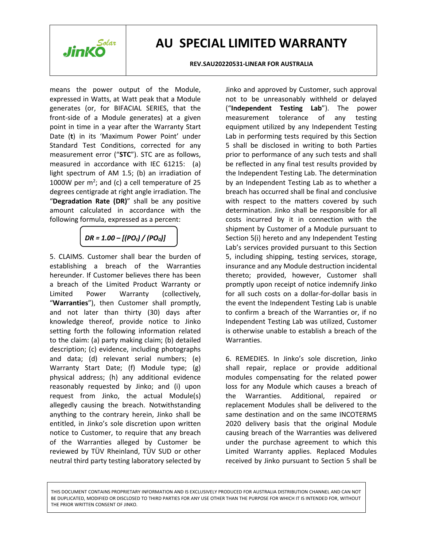

#### **REV.SAU20220531-LINEAR FOR AUSTRALIA**

means the power output of the Module, expressed in Watts, at Watt peak that a Module generates (or, for BIFACIAL SERIES, that the front-side of a Module generates) at a given point in time in a year after the Warranty Start Date (**t**) in its 'Maximum Power Point' under Standard Test Conditions, corrected for any measurement error ("**STC**"). STC are as follows,<br>measured in accordance with IEC 61215: (a) light spectrum of AM 1.5; (b) an irradiation of 1000W per  $m^2$ ; and (c) a cell temperature of 25 by an Independ degrees centigrade at right angle irradiation. The "**Degradation Rate (DR)**" shall be any positive amount calculated in accordance with the following formula, expressed as a percent:

*DR = 1.00 – [(POt) / (PO0)]*

5. CLAIMS. Customer shall bear the burden of establishing a breach of the Warranties hereunder. If Customer believes there has been a breach of the Limited Product Warranty or Limited Power Warranty (collectively, "**Warranties**"), then Customer shall promptly, and not later than thirty (30) days after knowledge thereof, provide notice to Jinko setting forth the following information related to the claim: (a) party making claim; (b) detailed description; (c) evidence, including photographs and data; (d) relevant serial numbers; (e) Warranty Start Date; (f) Module type; (g) physical address; (h) any additional evidence reasonably requested by Jinko; and (i) upon request from Jinko, the actual Module(s) allegedly causing the breach. Notwithstanding anything to the contrary herein, Jinko shall be entitled, in Jinko's sole discretion upon written notice to Customer, to require that any breach of the Warranties alleged by Customer be reviewed by TÜV Rheinland, TÜV SUD or other neutral third party testing laboratory selected by

Jinko and approved by Customer, such approval not to be unreasonably withheld or delayed ("**Independent Testing Lab**"). The power measurement tolerance of any testing equipment utilized by any Independent Testing Lab in performing tests required by this Section 5 shall be disclosed in writing to both Parties prior to performance of any such tests and shall be reflected in any final test results provided by the Independent Testing Lab. The determination by an Independent Testing Lab as to whether a breach has occurred shall be final and conclusive with respect to the matters covered by such determination. Jinko shall be responsible for all costs incurred by it in connection with the shipment by Customer of a Module pursuant to Section 5(i) hereto and any Independent Testing Lab's services provided pursuant to this Section 5, including shipping, testing services, storage, insurance and any Module destruction incidental thereto; provided, however, Customer shall promptly upon receipt of notice indemnify Jinko for all such costs on a dollar-for-dollar basis in the event the Independent Testing Lab is unable to confirm a breach of the Warranties or, if no Independent Testing Lab was utilized, Customer is otherwise unable to establish a breach of the Warranties.

6. REMEDIES. In Jinko's sole discretion, Jinko shall repair, replace or provide additional modules compensating for the related power loss for any Module which causes a breach of Additional, repaired or replacement Modules shall be delivered to the same destination and on the same INCOTERMS 2020 delivery basis that the original Module causing breach of the Warranties was delivered under the purchase agreement to which this Limited Warranty applies. Replaced Modules received by Jinko pursuant to Section 5 shall be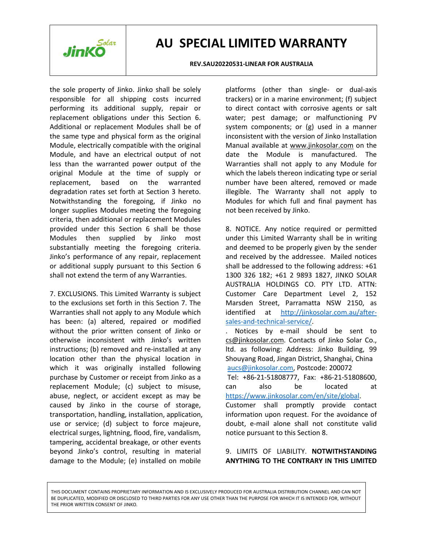

#### **REV.SAU20220531-LINEAR FOR AUSTRALIA**

the sole property of Jinko. Jinko shall be solely responsible for all shipping costs incurred performing its additional supply, repair or replacement obligations under this Section 6. Additional or replacement Modules shall be of the same type and physical form as the original Module, electrically compatible with the original Module, and have an electrical output of not less than the warranted power output of the original Module at the time of supply or replacement, based on the warranted anumber have-been-altered, removed or made degradation rates set forth at Section 3 hereto. Notwithstanding the foregoing, if Jinko no longer supplies Modules meeting the foregoing criteria, then additional or replacement Modules provided under this Section 6 shall be those Modules then supplied by Jinko most substantially meeting the foregoing criteria. Jinko's performance of any repair, replacement or additional supply pursuant to this Section 6 shall not extend the term of any Warranties.

7. EXCLUSIONS. This Limited Warranty is subject to the exclusions set forth in this Section 7. The Warranties shall not apply to any Module which has been: (a) altered, repaired or modified without the prior written consent of Jinko or otherwise inconsistent with Jinko's written instructions; (b) removed and re-installed at any location other than the physical location in which it was originally installed following purchase by Customer or receipt from Jinko as a replacement Module; (c) subject to misuse, abuse, neglect, or accident except as may be caused by Jinko in the course of storage, transportation, handling, installation, application, use or service; (d) subject to force majeure, electrical surges, lightning, flood, fire, vandalism, tampering, accidental breakage, or other events beyond Jinko's control, resulting in material damage to the Module; (e) installed on mobile

platforms (other than single- or dual-axis trackers) or in a marine environment; (f) subject to direct contact with corrosive agents or salt water; pest damage; or malfunctioning PV system components; or (g) used in a manner inconsistent with the version of Jinko Installation Manual available at [www.jinkosolar.com](http://www.jinkosolar.com) on the date the Module is manufactured. The Warranties shall not apply to any Module for which the labels thereon indicating type or serial illegible. The Warranty shall not apply to Modules for which full and final payment has not been received by Jinko.

8. NOTICE. Any notice required or permitted under this Limited Warranty shall be in writing and deemed to be properly given by the sender and received by the addressee. Mailed notices shall be addressed to the following address: +61 1300 326 182; +61 2 9893 1827, JINKO SOLAR AUSTRALIA HOLDINGS CO. PTY LTD. ATTN: Customer Care Department Level 2, 152 Marsden Street, Parramatta NSW 2150, as identified at [http://jinkosolar.com.au/after](http://jinkosolar.com.au/after-sales-and-technical-service/) sales-and-technical-service/.

. Notices by e-mail should be sent to [cs@jinkosolar.com](mailto:cs@jinkosolar.com). Contacts of Jinko Solar Co., ltd. as following: Address: Jinko Building, 99 Shouyang Road, Jingan District, Shanghai, China [aucs@jinkosolar.com,](mailto:aucs@jinkosolar.com) Postcode: 200072

Tel: +86-21-51808777, Fax: +86-21-51808600, can also be located at <https://www.jinkosolar.com/en/site/global>. Customer shall promptly provide contact information upon request. For the avoidance of doubt, e-mail alone shall not constitute valid notice pursuant to this Section 8.

### 9. LIMITS OF LIABILITY. **NOTWITHSTANDING ANYTHING TO THE CONTRARY IN THIS LIMITED**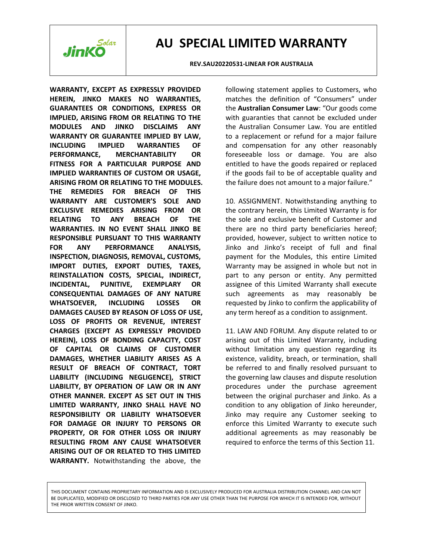

**REV.SAU20220531-LINEAR FOR AUSTRALIA**

**WARRANTY, EXCEPT AS EXPRESSLY PROVIDED HEREIN, JINKO MAKESNO WARRANTIES, GUARANTEES OR CONDITIONS, EXPRESS OR IMPLIED, ARISING FROM OR RELATING TO THE MODULES AND JINKO DISCLAIMS ANY** the Australian Consumer Law. You are entitled **WARRANTY OR GUARANTEE IMPLIED BY LAW, INCLUDING IMPLIED WARRANTIES OF** and compensation for any other reasonably **PERFORMANCE, MERCHANTABILITY OR FITNESS FOR A PARTICULAR PURPOSE AND IMPLIED WARRANTIES OF CUSTOM OR USAGE, ARISING FROM OR RELATING TO THE MODULES. THE REMEDIES FOR BREACH OF THIS WARRANTY ARE CUSTOMER'S SOLE AND EXCLUSIVE REMEDIES ARISING FROM OR RELATING TO ANY BREACH OF THE** the sole and exclusive benefit of Customer and **WARRANTIES. IN NO EVENT SHALL JINKO BE RESPONSIBLE PURSUANT TO THIS WARRANTY FOR ANY PERFORMANCE ANALYSIS, INSPECTION, DIAGNOSIS, REMOVAL, CUSTOMS, IMPORT DUTIES, EXPORT DUTIES, TAXES, REINSTALLATION COSTS, SPECIAL, INDIRECT, INCIDENTAL, PUNITIVE, EXEMPLARY OR** assignee of this Limited Warranty shall execute **CONSEQUENTIAL DAMAGES OF ANY NATURE WHATSOEVER, INCLUDING LOSSES OR** requested by Jinko to confirm the applicability of **DAMAGES CAUSED BY REASON OF LOSS OF USE, LOSS OF PROFITS OR REVENUE, INTEREST CHARGES (EXCEPT AS EXPRESSLY PROVIDED HEREIN), LOSS OF BONDING CAPACITY, COST OF CAPITAL OR CLAIMS OF CUSTOMER DAMAGES, WHETHER LIABILITY ARISES AS A RESULT OF BREACH OF CONTRACT, TORT LIABILITY (INCLUDING NEGLIGENCE), STRICT LIABILITY, BY OPERATION OF LAW OR IN ANY OTHER MANNER. EXCEPT AS SET OUT IN THIS LIMITED WARRANTY, JINKO SHALL HAVE NO RESPONSIBILITY OR LIABILITY WHATSOEVER FOR DAMAGE OR INJURY TO PERSONS OR PROPERTY, OR FOR OTHER LOSS OR INJURY RESULTING FROM ANY CAUSE WHATSOEVER ARISING OUT OF OR RELATED TO THIS LIMITED WARRANTY.** Notwithstanding the above, the

following statement applies to Customers, who matches the definition of "Consumers" under the **Australian Consumer Law**: "Our goods come with guaranties that cannot be excluded under to a replacement or refund for a major failure foreseeable loss or damage. You are also entitled to have the goods repaired or replaced if the goods fail to be of acceptable quality and the failure does not amount to a major failure."

10. ASSIGNMENT. Notwithstanding anything to the contrary herein, this Limited Warranty is for there are no third party beneficiaries hereof; provided, however, subject to written notice to Jinko and Jinko's receipt of full and final payment for the Modules, this entire Limited Warranty may be assigned in whole but not in part to any person or entity. Any permitted such agreements as may reasonably be any term hereof as a condition to assignment.

11. LAW AND FORUM. Any dispute related to or arising out of this Limited Warranty, including without limitation any question regarding its existence, validity, breach, or termination, shall be referred to and finally resolved pursuant to the governing law clauses and dispute resolution procedures under the purchase agreement between the original purchaser and Jinko. As a condition to any obligation of Jinko hereunder, Jinko may require any Customer seeking to enforce this Limited Warranty to execute such additional agreements as may reasonably be required to enforce the terms of this Section 11.